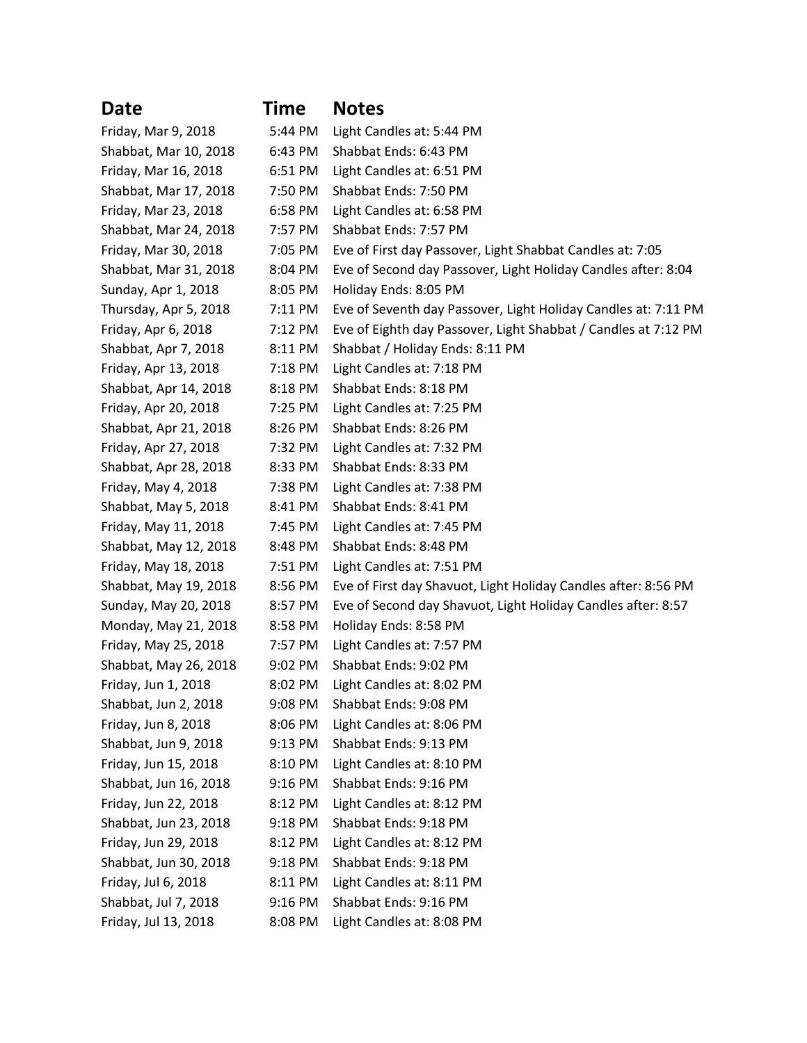**Date Time Notes**

| Friday, Mar 9, 2018   | 5:44 PM | Light Candles at: 5:44 PM                                      |  |
|-----------------------|---------|----------------------------------------------------------------|--|
| Shabbat, Mar 10, 2018 | 6:43 PM | Shabbat Ends: 6:43 PM                                          |  |
| Friday, Mar 16, 2018  | 6:51 PM | Light Candles at: 6:51 PM                                      |  |
| Shabbat, Mar 17, 2018 | 7:50 PM | Shabbat Ends: 7:50 PM                                          |  |
| Friday, Mar 23, 2018  | 6:58 PM | Light Candles at: 6:58 PM                                      |  |
| Shabbat, Mar 24, 2018 | 7:57 PM | Shabbat Ends: 7:57 PM                                          |  |
| Friday, Mar 30, 2018  | 7:05 PM | Eve of First day Passover, Light Shabbat Candles at: 7:05      |  |
| Shabbat, Mar 31, 2018 | 8:04 PM | Eve of Second day Passover, Light Holiday Candles after: 8:04  |  |
| Sunday, Apr 1, 2018   | 8:05 PM | Holiday Ends: 8:05 PM                                          |  |
| Thursday, Apr 5, 2018 | 7:11 PM | Eve of Seventh day Passover, Light Holiday Candles at: 7:11 PM |  |
| Friday, Apr 6, 2018   | 7:12 PM | Eve of Eighth day Passover, Light Shabbat / Candles at 7:12 PM |  |
| Shabbat, Apr 7, 2018  | 8:11 PM | Shabbat / Holiday Ends: 8:11 PM                                |  |
| Friday, Apr 13, 2018  | 7:18 PM | Light Candles at: 7:18 PM                                      |  |
| Shabbat, Apr 14, 2018 | 8:18 PM | Shabbat Ends: 8:18 PM                                          |  |
| Friday, Apr 20, 2018  | 7:25 PM | Light Candles at: 7:25 PM                                      |  |
| Shabbat, Apr 21, 2018 | 8:26 PM | Shabbat Ends: 8:26 PM                                          |  |
| Friday, Apr 27, 2018  | 7:32 PM | Light Candles at: 7:32 PM                                      |  |
| Shabbat, Apr 28, 2018 | 8:33 PM | Shabbat Ends: 8:33 PM                                          |  |
| Friday, May 4, 2018   | 7:38 PM | Light Candles at: 7:38 PM                                      |  |
| Shabbat, May 5, 2018  | 8:41 PM | Shabbat Ends: 8:41 PM                                          |  |
| Friday, May 11, 2018  | 7:45 PM | Light Candles at: 7:45 PM                                      |  |
| Shabbat, May 12, 2018 | 8:48 PM | Shabbat Ends: 8:48 PM                                          |  |
| Friday, May 18, 2018  | 7:51 PM | Light Candles at: 7:51 PM                                      |  |
| Shabbat, May 19, 2018 | 8:56 PM | Eve of First day Shavuot, Light Holiday Candles after: 8:56 PM |  |
| Sunday, May 20, 2018  | 8:57 PM | Eve of Second day Shavuot, Light Holiday Candles after: 8:57   |  |
| Monday, May 21, 2018  | 8:58 PM | Holiday Ends: 8:58 PM                                          |  |
| Friday, May 25, 2018  | 7:57 PM | Light Candles at: 7:57 PM                                      |  |
| Shabbat, May 26, 2018 | 9:02 PM | Shabbat Ends: 9:02 PM                                          |  |
| Friday, Jun 1, 2018   | 8:02 PM | Light Candles at: 8:02 PM                                      |  |
| Shabbat, Jun 2, 2018  | 9:08 PM | Shabbat Ends: 9:08 PM                                          |  |
| Friday, Jun 8, 2018   | 8:06 PM | Light Candles at: 8:06 PM                                      |  |
| Shabbat, Jun 9, 2018  | 9:13 PM | Shabbat Ends: 9:13 PM                                          |  |
| Friday, Jun 15, 2018  | 8:10 PM | Light Candles at: 8:10 PM                                      |  |
| Shabbat, Jun 16, 2018 | 9:16 PM | Shabbat Ends: 9:16 PM                                          |  |
| Friday, Jun 22, 2018  | 8:12 PM | Light Candles at: 8:12 PM                                      |  |
| Shabbat, Jun 23, 2018 | 9:18 PM | Shabbat Ends: 9:18 PM                                          |  |
| Friday, Jun 29, 2018  | 8:12 PM | Light Candles at: 8:12 PM                                      |  |
| Shabbat, Jun 30, 2018 | 9:18 PM | Shabbat Ends: 9:18 PM                                          |  |
| Friday, Jul 6, 2018   | 8:11 PM | Light Candles at: 8:11 PM                                      |  |
| Shabbat, Jul 7, 2018  | 9:16 PM | Shabbat Ends: 9:16 PM                                          |  |
| Friday, Jul 13, 2018  | 8:08 PM | Light Candles at: 8:08 PM                                      |  |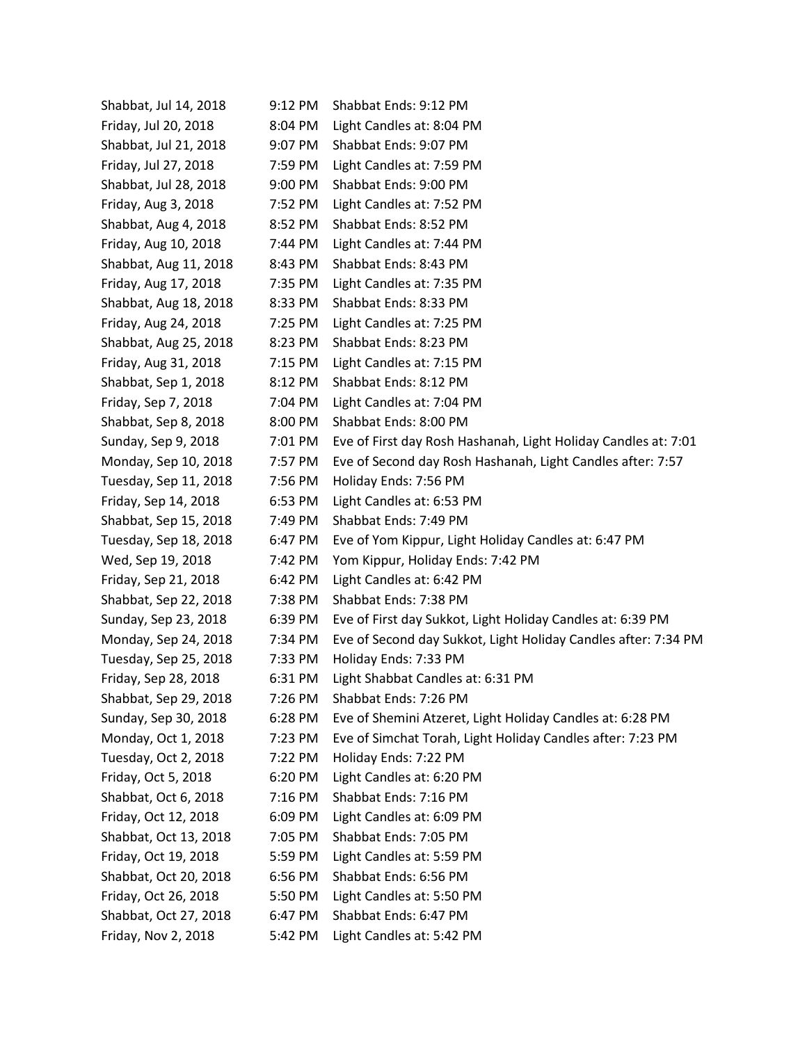| Shabbat, Jul 14, 2018 | 9:12 PM | Shabbat Ends: 9:12 PM                                          |  |
|-----------------------|---------|----------------------------------------------------------------|--|
| Friday, Jul 20, 2018  | 8:04 PM | Light Candles at: 8:04 PM                                      |  |
| Shabbat, Jul 21, 2018 | 9:07 PM | Shabbat Ends: 9:07 PM                                          |  |
| Friday, Jul 27, 2018  | 7:59 PM | Light Candles at: 7:59 PM                                      |  |
| Shabbat, Jul 28, 2018 | 9:00 PM | Shabbat Ends: 9:00 PM                                          |  |
| Friday, Aug 3, 2018   | 7:52 PM | Light Candles at: 7:52 PM                                      |  |
| Shabbat, Aug 4, 2018  | 8:52 PM | Shabbat Ends: 8:52 PM                                          |  |
| Friday, Aug 10, 2018  | 7:44 PM | Light Candles at: 7:44 PM                                      |  |
| Shabbat, Aug 11, 2018 | 8:43 PM | Shabbat Ends: 8:43 PM                                          |  |
| Friday, Aug 17, 2018  | 7:35 PM | Light Candles at: 7:35 PM                                      |  |
| Shabbat, Aug 18, 2018 | 8:33 PM | Shabbat Ends: 8:33 PM                                          |  |
| Friday, Aug 24, 2018  | 7:25 PM | Light Candles at: 7:25 PM                                      |  |
| Shabbat, Aug 25, 2018 | 8:23 PM | Shabbat Ends: 8:23 PM                                          |  |
| Friday, Aug 31, 2018  | 7:15 PM | Light Candles at: 7:15 PM                                      |  |
| Shabbat, Sep 1, 2018  | 8:12 PM | Shabbat Ends: 8:12 PM                                          |  |
| Friday, Sep 7, 2018   | 7:04 PM | Light Candles at: 7:04 PM                                      |  |
| Shabbat, Sep 8, 2018  | 8:00 PM | Shabbat Ends: 8:00 PM                                          |  |
| Sunday, Sep 9, 2018   | 7:01 PM | Eve of First day Rosh Hashanah, Light Holiday Candles at: 7:01 |  |
| Monday, Sep 10, 2018  | 7:57 PM | Eve of Second day Rosh Hashanah, Light Candles after: 7:57     |  |
| Tuesday, Sep 11, 2018 | 7:56 PM | Holiday Ends: 7:56 PM                                          |  |
| Friday, Sep 14, 2018  | 6:53 PM | Light Candles at: 6:53 PM                                      |  |
| Shabbat, Sep 15, 2018 | 7:49 PM | Shabbat Ends: 7:49 PM                                          |  |
| Tuesday, Sep 18, 2018 | 6:47 PM | Eve of Yom Kippur, Light Holiday Candles at: 6:47 PM           |  |
| Wed, Sep 19, 2018     | 7:42 PM | Yom Kippur, Holiday Ends: 7:42 PM                              |  |
| Friday, Sep 21, 2018  | 6:42 PM | Light Candles at: 6:42 PM                                      |  |
| Shabbat, Sep 22, 2018 | 7:38 PM | Shabbat Ends: 7:38 PM                                          |  |
| Sunday, Sep 23, 2018  | 6:39 PM | Eve of First day Sukkot, Light Holiday Candles at: 6:39 PM     |  |
| Monday, Sep 24, 2018  | 7:34 PM | Eve of Second day Sukkot, Light Holiday Candles after: 7:34 PM |  |
| Tuesday, Sep 25, 2018 | 7:33 PM | Holiday Ends: 7:33 PM                                          |  |
| Friday, Sep 28, 2018  | 6:31 PM | Light Shabbat Candles at: 6:31 PM                              |  |
| Shabbat, Sep 29, 2018 | 7:26 PM | Shabbat Ends: 7:26 PM                                          |  |
| Sunday, Sep 30, 2018  | 6:28 PM | Eve of Shemini Atzeret, Light Holiday Candles at: 6:28 PM      |  |
| Monday, Oct 1, 2018   | 7:23 PM | Eve of Simchat Torah, Light Holiday Candles after: 7:23 PM     |  |
| Tuesday, Oct 2, 2018  | 7:22 PM | Holiday Ends: 7:22 PM                                          |  |
| Friday, Oct 5, 2018   | 6:20 PM | Light Candles at: 6:20 PM                                      |  |
| Shabbat, Oct 6, 2018  | 7:16 PM | Shabbat Ends: 7:16 PM                                          |  |
| Friday, Oct 12, 2018  | 6:09 PM | Light Candles at: 6:09 PM                                      |  |
| Shabbat, Oct 13, 2018 | 7:05 PM | Shabbat Ends: 7:05 PM                                          |  |
| Friday, Oct 19, 2018  | 5:59 PM | Light Candles at: 5:59 PM                                      |  |
| Shabbat, Oct 20, 2018 | 6:56 PM | Shabbat Ends: 6:56 PM                                          |  |
| Friday, Oct 26, 2018  | 5:50 PM | Light Candles at: 5:50 PM                                      |  |
| Shabbat, Oct 27, 2018 | 6:47 PM | Shabbat Ends: 6:47 PM                                          |  |
| Friday, Nov 2, 2018   | 5:42 PM | Light Candles at: 5:42 PM                                      |  |